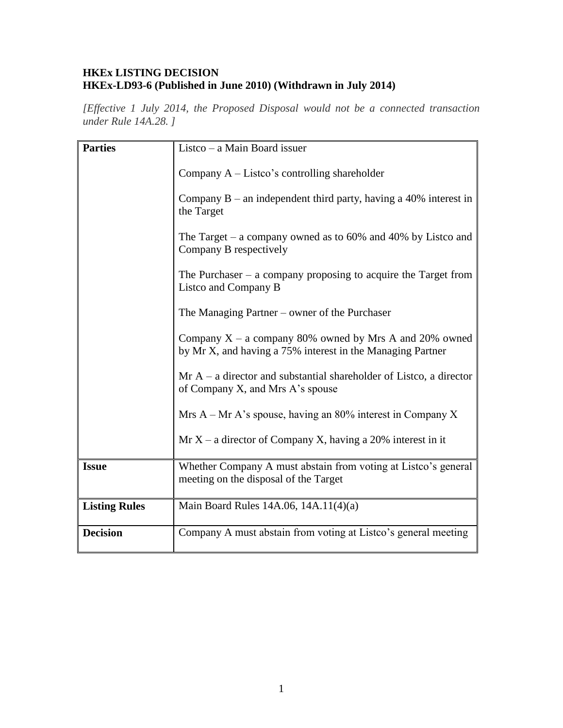## **HKEx LISTING DECISION HKEx-LD93-6 (Published in June 2010) (Withdrawn in July 2014)**

*[Effective 1 July 2014, the Proposed Disposal would not be a connected transaction under Rule 14A.28. ]*

| <b>Parties</b>       | Listco – a Main Board issuer                                                                                           |
|----------------------|------------------------------------------------------------------------------------------------------------------------|
|                      | Company $A - Listco's controlling shareholder$                                                                         |
|                      | Company $B$ – an independent third party, having a 40% interest in<br>the Target                                       |
|                      | The Target – a company owned as to $60\%$ and $40\%$ by Listco and<br>Company B respectively                           |
|                      | The Purchaser $-$ a company proposing to acquire the Target from<br>Listco and Company B                               |
|                      | The Managing Partner – owner of the Purchaser                                                                          |
|                      | Company $X - a$ company 80% owned by Mrs A and 20% owned<br>by Mr X, and having a 75% interest in the Managing Partner |
|                      | $Mr A - a$ director and substantial shareholder of Listco, a director<br>of Company X, and Mrs A's spouse              |
|                      | Mrs $A - Mr A's spouse, having an 80\% interest in Company X$                                                          |
|                      | $Mr X - a$ director of Company X, having a 20% interest in it                                                          |
| <b>Issue</b>         | Whether Company A must abstain from voting at Listco's general<br>meeting on the disposal of the Target                |
| <b>Listing Rules</b> | Main Board Rules 14A.06, 14A.11(4)(a)                                                                                  |
| <b>Decision</b>      | Company A must abstain from voting at Listco's general meeting                                                         |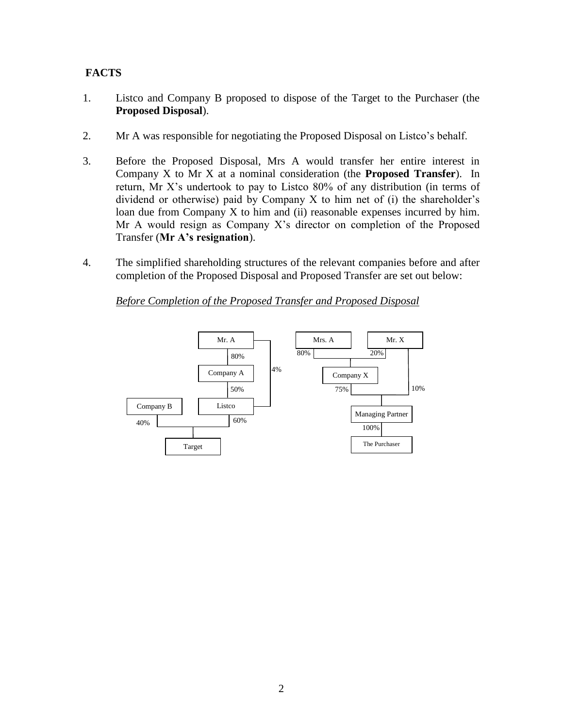# **FACTS**

- 1. Listco and Company B proposed to dispose of the Target to the Purchaser (the **Proposed Disposal**).
- 2. Mr A was responsible for negotiating the Proposed Disposal on Listco's behalf.
- 3. Before the Proposed Disposal, Mrs A would transfer her entire interest in Company X to Mr X at a nominal consideration (the **Proposed Transfer**). In return, Mr X's undertook to pay to Listco 80% of any distribution (in terms of dividend or otherwise) paid by Company X to him net of (i) the shareholder's loan due from Company X to him and (ii) reasonable expenses incurred by him. Mr A would resign as Company X's director on completion of the Proposed Transfer (**Mr A's resignation**).
- 4. The simplified shareholding structures of the relevant companies before and after completion of the Proposed Disposal and Proposed Transfer are set out below:

*Before Completion of the Proposed Transfer and Proposed Disposal* 

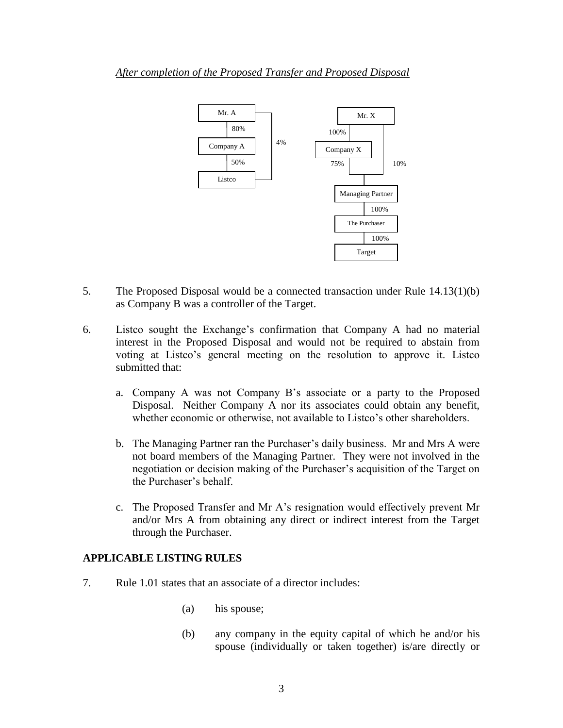#### *After completion of the Proposed Transfer and Proposed Disposal*



- 5. The Proposed Disposal would be a connected transaction under Rule 14.13(1)(b) as Company B was a controller of the Target.
- 6. Listco sought the Exchange's confirmation that Company A had no material interest in the Proposed Disposal and would not be required to abstain from voting at Listco's general meeting on the resolution to approve it. Listco submitted that:
	- a. Company A was not Company B's associate or a party to the Proposed Disposal. Neither Company A nor its associates could obtain any benefit, whether economic or otherwise, not available to Listco's other shareholders.
	- b. The Managing Partner ran the Purchaser's daily business. Mr and Mrs A were not board members of the Managing Partner. They were not involved in the negotiation or decision making of the Purchaser's acquisition of the Target on the Purchaser's behalf.
	- c. The Proposed Transfer and Mr A's resignation would effectively prevent Mr and/or Mrs A from obtaining any direct or indirect interest from the Target through the Purchaser.

### **APPLICABLE LISTING RULES**

- 7. Rule 1.01 states that an associate of a director includes:
	- (a) his spouse;
	- (b) any company in the equity capital of which he and/or his spouse (individually or taken together) is/are directly or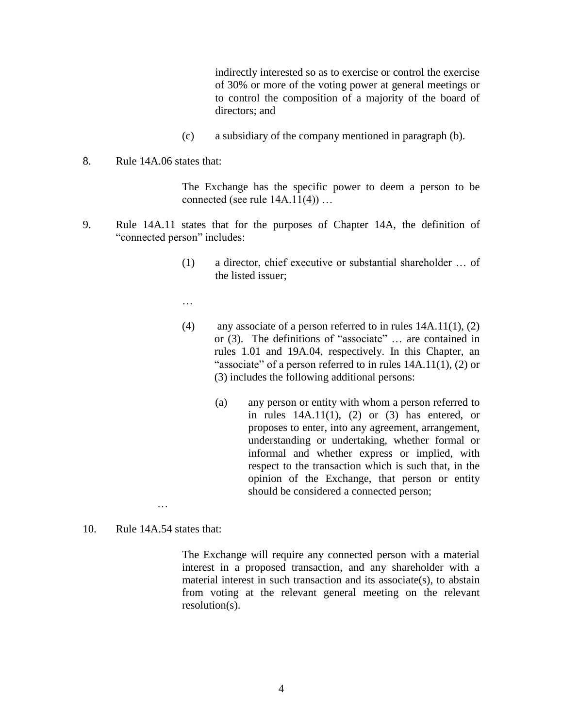indirectly interested so as to exercise or control the exercise of 30% or more of the voting power at general meetings or to control the composition of a majority of the board of directors; and

- (c) a subsidiary of the company mentioned in paragraph (b).
- 8. Rule 14A.06 states that:

The Exchange has the specific power to deem a person to be connected (see rule 14A.11(4)) …

- 9. Rule 14A.11 states that for the purposes of Chapter 14A, the definition of "connected person" includes:
	- (1) a director, chief executive or substantial shareholder … of the listed issuer;

…

- (4) any associate of a person referred to in rules  $14A.11(1)$ ,  $(2)$ or (3). The definitions of "associate" … are contained in rules 1.01 and 19A.04, respectively. In this Chapter, an "associate" of a person referred to in rules  $14A.11(1)$ ,  $(2)$  or (3) includes the following additional persons:
	- (a) any person or entity with whom a person referred to in rules  $14A.11(1)$ ,  $(2)$  or  $(3)$  has entered, or proposes to enter, into any agreement, arrangement, understanding or undertaking, whether formal or informal and whether express or implied, with respect to the transaction which is such that, in the opinion of the Exchange, that person or entity should be considered a connected person;
- 10. Rule 14A.54 states that:

…

The Exchange will require any connected person with a material interest in a proposed transaction, and any shareholder with a material interest in such transaction and its associate(s), to abstain from voting at the relevant general meeting on the relevant resolution(s).